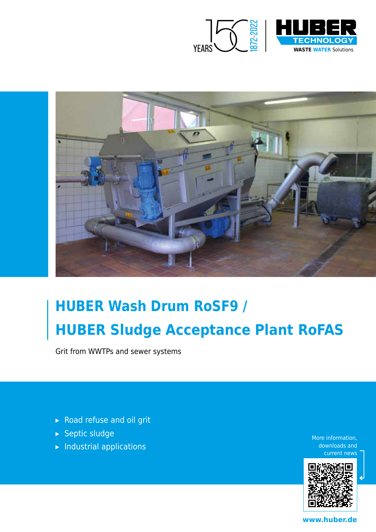



# **HUBER Wash Drum RoSF9 / HUBER Sludge Acceptance Plant RoFAS**

Grit from WWTPs and sewer systems

- ▸ Road refuse and oil grit
- ▸ Septic sludge
- $\blacktriangleright$  Industrial applications

More information, downloads and current news



**www.huber.de**